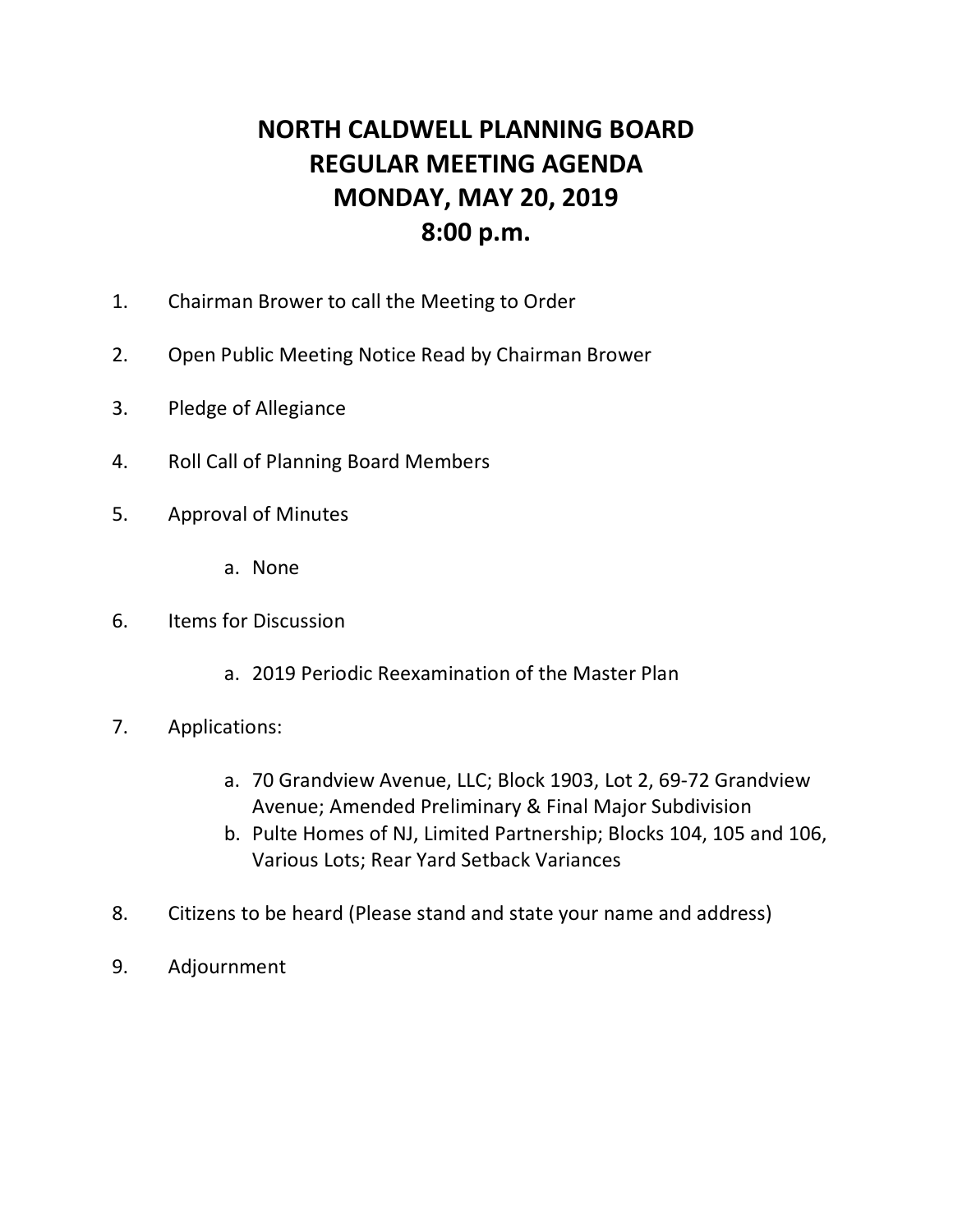## **NORTH CALDWELL PLANNING BOARD REGULAR MEETING AGENDA MONDAY, MAY 20, 2019 8:00 p.m.**

- 1. Chairman Brower to call the Meeting to Order
- 2. Open Public Meeting Notice Read by Chairman Brower
- 3. Pledge of Allegiance
- 4. Roll Call of Planning Board Members
- 5. Approval of Minutes
	- a. None
- 6. Items for Discussion
	- a. 2019 Periodic Reexamination of the Master Plan
- 7. Applications:
	- a. 70 Grandview Avenue, LLC; Block 1903, Lot 2, 69-72 Grandview Avenue; Amended Preliminary & Final Major Subdivision
	- b. Pulte Homes of NJ, Limited Partnership; Blocks 104, 105 and 106, Various Lots; Rear Yard Setback Variances
- 8. Citizens to be heard (Please stand and state your name and address)
- 9. Adjournment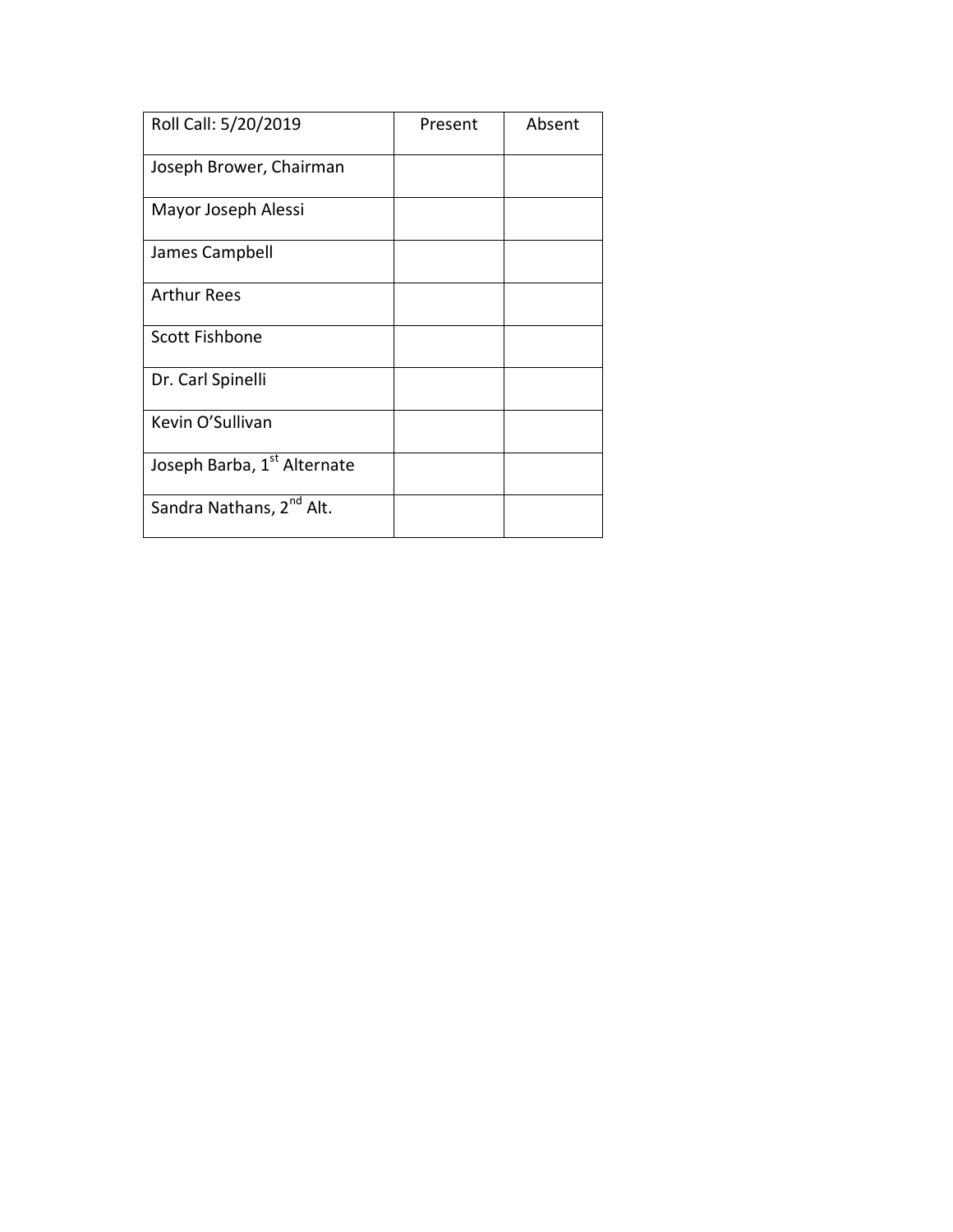| Roll Call: 5/20/2019                 | Present | Absent |
|--------------------------------------|---------|--------|
| Joseph Brower, Chairman              |         |        |
| Mayor Joseph Alessi                  |         |        |
| James Campbell                       |         |        |
| <b>Arthur Rees</b>                   |         |        |
| Scott Fishbone                       |         |        |
| Dr. Carl Spinelli                    |         |        |
| Kevin O'Sullivan                     |         |        |
| Joseph Barba, 1st Alternate          |         |        |
| Sandra Nathans, 2 <sup>nd</sup> Alt. |         |        |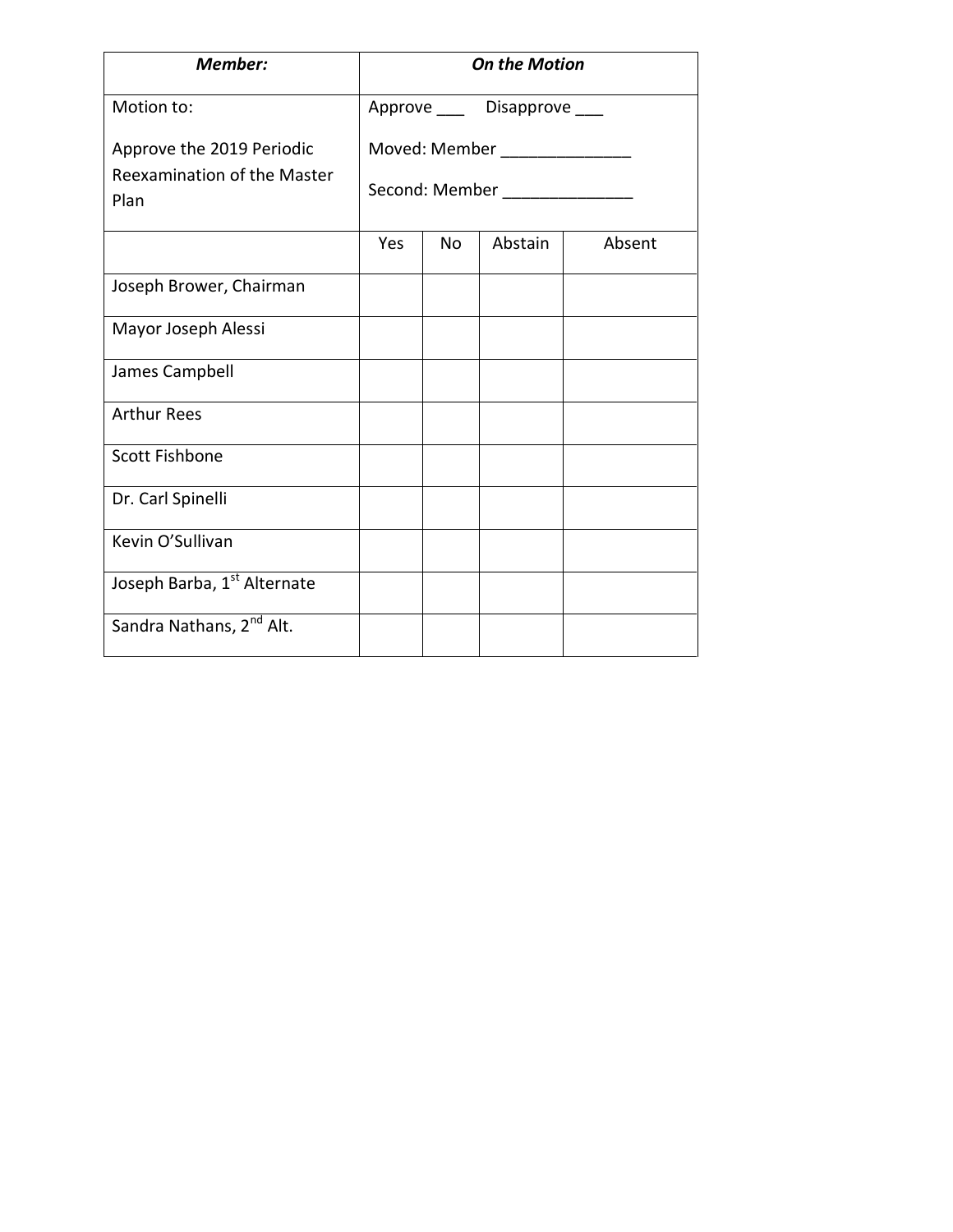| <b>Member:</b>                                           | <b>On the Motion</b>                             |           |                              |        |
|----------------------------------------------------------|--------------------------------------------------|-----------|------------------------------|--------|
| Motion to:                                               |                                                  |           | Approve ____ Disapprove ____ |        |
| Approve the 2019 Periodic<br>Reexamination of the Master | Moved: Member ________________<br>Second: Member |           |                              |        |
| Plan                                                     |                                                  |           |                              |        |
|                                                          | Yes                                              | <b>No</b> | Abstain                      | Absent |
| Joseph Brower, Chairman                                  |                                                  |           |                              |        |
| Mayor Joseph Alessi                                      |                                                  |           |                              |        |
| James Campbell                                           |                                                  |           |                              |        |
| <b>Arthur Rees</b>                                       |                                                  |           |                              |        |
| <b>Scott Fishbone</b>                                    |                                                  |           |                              |        |
| Dr. Carl Spinelli                                        |                                                  |           |                              |        |
| Kevin O'Sullivan                                         |                                                  |           |                              |        |
| Joseph Barba, 1st Alternate                              |                                                  |           |                              |        |
| Sandra Nathans, 2 <sup>nd</sup> Alt.                     |                                                  |           |                              |        |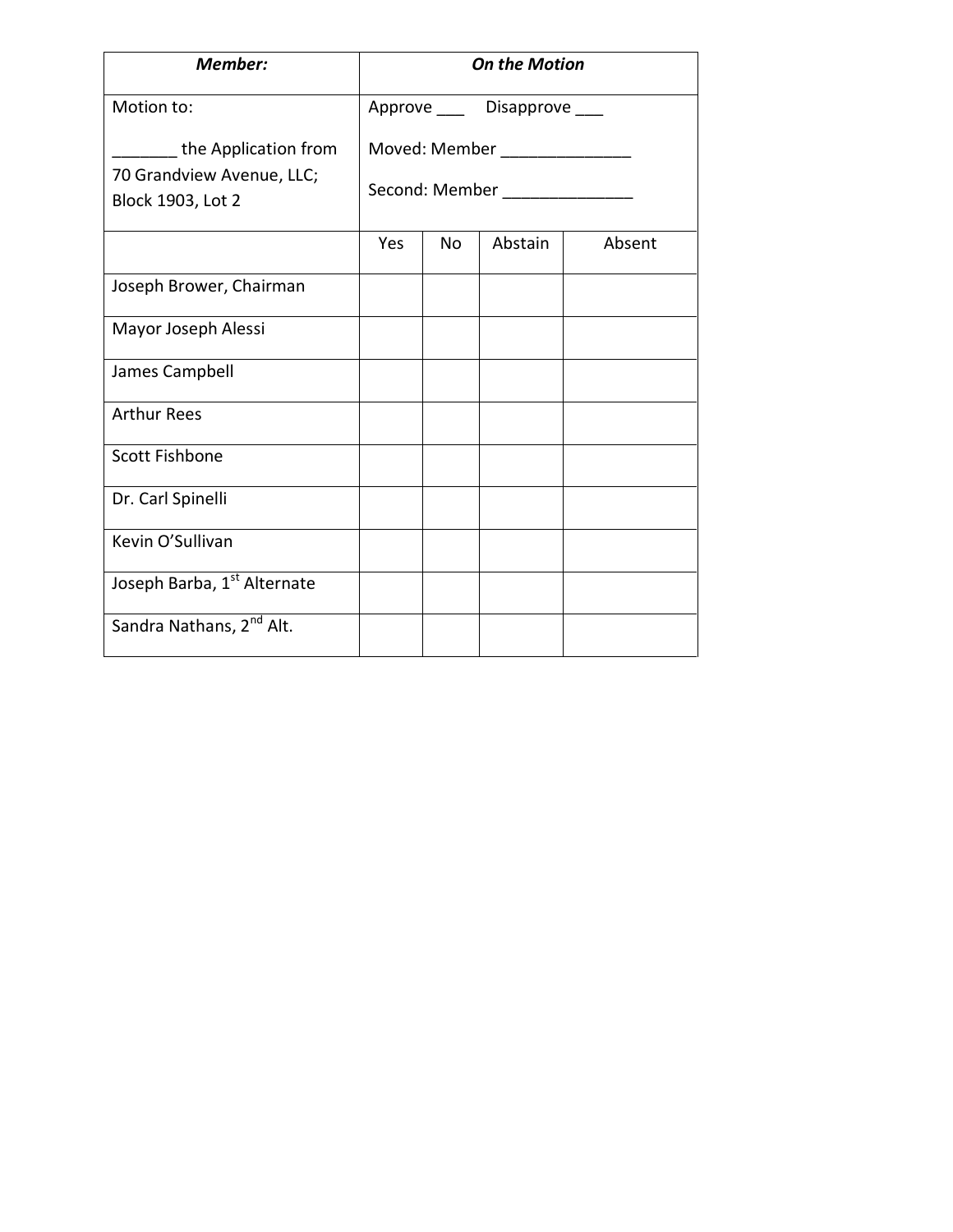| <b>Member:</b>                                                                | <b>On the Motion</b>                                          |           |                              |        |
|-------------------------------------------------------------------------------|---------------------------------------------------------------|-----------|------------------------------|--------|
| Motion to:                                                                    |                                                               |           | Approve ____ Disapprove ____ |        |
| the Application from<br>70 Grandview Avenue, LLC;<br><b>Block 1903, Lot 2</b> | Moved: Member ________________<br>Second: Member North Second |           |                              |        |
|                                                                               | Yes                                                           | <b>No</b> | Abstain                      | Absent |
| Joseph Brower, Chairman                                                       |                                                               |           |                              |        |
| Mayor Joseph Alessi                                                           |                                                               |           |                              |        |
| James Campbell                                                                |                                                               |           |                              |        |
| <b>Arthur Rees</b>                                                            |                                                               |           |                              |        |
| <b>Scott Fishbone</b>                                                         |                                                               |           |                              |        |
| Dr. Carl Spinelli                                                             |                                                               |           |                              |        |
| Kevin O'Sullivan                                                              |                                                               |           |                              |        |
| Joseph Barba, 1st Alternate                                                   |                                                               |           |                              |        |
| Sandra Nathans, 2 <sup>nd</sup> Alt.                                          |                                                               |           |                              |        |